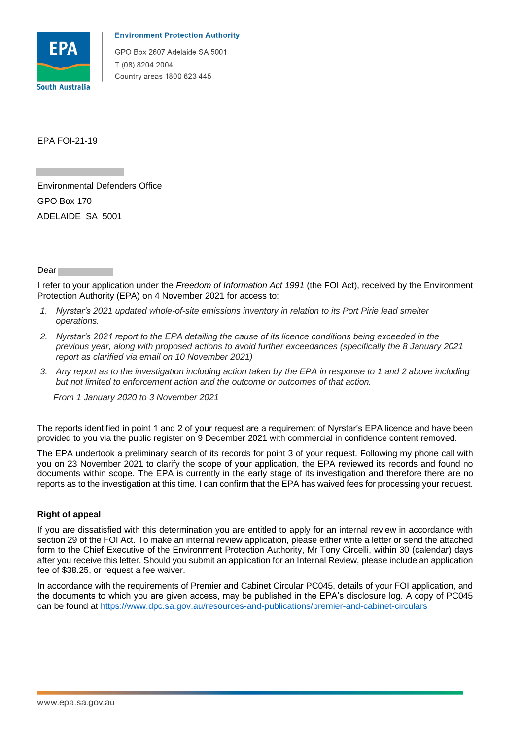

## **Environment Protection Authority**

GPO Box 2607 Adelaide SA 5001 T (08) 8204 2004 Country areas 1800 623 445

EPA FOI-21-19

 ADELAIDE SA 5001 Environmental Defenders Office GPO Box 170

Dear

 I refer to your application under the *Freedom of Information Act 1991* (the FOI Act), received by the Environment Protection Authority (EPA) on 4 November 2021 for access to:

- *1. Nyrstar's 2021 updated whole-of-site emissions inventory in relation to its Port Pirie lead smelter operations.*
- *2. Nyrstar's 2021 report to the EPA detailing the cause of its licence conditions being exceeded in the previous year, along with proposed actions to avoid further exceedances (specifically the 8 January 2021 report as clarified via email on 10 November 2021)*
- *3. Any report as to the investigation including action taken by the EPA in response to 1 and 2 above including*  but not limited to enforcement action and the outcome or outcomes of that action.

 *From 1 January 2020 to 3 November 2021* 

 The reports identified in point 1 and 2 of your request are a requirement of Nyrstar's EPA licence and have been provided to you via the public register on 9 December 2021 with commercial in confidence content removed.

 The EPA undertook a preliminary search of its records for point 3 of your request. Following my phone call with you on 23 November 2021 to clarify the scope of your application, the EPA reviewed its records and found no documents within scope. The EPA is currently in the early stage of its investigation and therefore there are no reports as to the investigation at this time. I can confirm that the EPA has waived fees for processing your request.

## **Right of appeal**

 If you are dissatisfied with this determination you are entitled to apply for an internal review in accordance with section 29 of the FOI Act. To make an internal review application, please either write a letter or send the attached form to the Chief Executive of the Environment Protection Authority, Mr Tony Circelli, within 30 (calendar) days after you receive this letter. Should you submit an application for an Internal Review, please include an application fee of \$38.25, or request a fee waiver.

 In accordance with the requirements of Premier and Cabinet Circular PC045, details of your FOI application, and the documents to which you are given access, may be published in the EPA's disclosure log. A copy of PC045 can be found at https://www.dpc.sa.gov.au/resources-and-publications/premier-and-cabinet-circulars